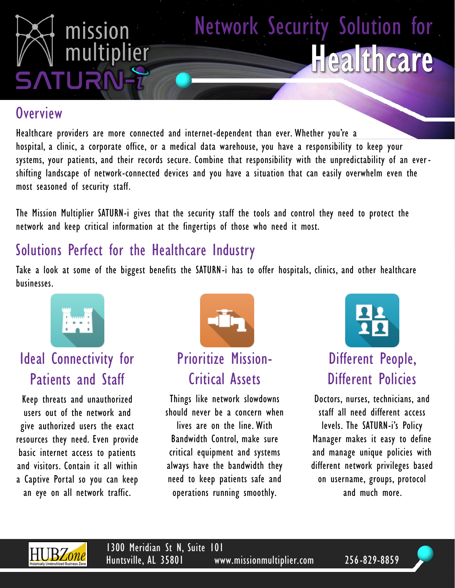

#### **Overview**

Healthcare providers are more connected and internet-dependent than ever. Whether you're a hospital, a clinic, a corporate office, or a medical data warehouse, you have a responsibility to keep your systems, your patients, and their records secure. Combine that responsibility with the unpredictability of an ever shifting landscape of network-connected devices and you have a situation that can easily overwhelm even the most seasoned of security staff.

The Mission Multiplier SATURN-i gives that the security staff the tools and control they need to protect the network and keep critical information at the fingertips of those who need it most.

### Solutions Perfect for the Healthcare Industry

Take a look at some of the biggest benefits the SATURN-i has to offer hospitals, clinics, and other healthcare businesses.



## Ideal Connectivity for Patients and Staff

Keep threats and unauthorized users out of the network and give authorized users the exact resources they need. Even provide basic internet access to patients and visitors. Contain it all within a Captive Portal so you can keep an eye on all network traffic.



Prioritize Mission-Critical Assets

Things like network slowdowns should never be a concern when lives are on the line. With Bandwidth Control, make sure critical equipment and systems always have the bandwidth they need to keep patients safe and operations running smoothly.



## Different People, Different Policies

Doctors, nurses, technicians, and staff all need different access levels. The SATURN-i's Policy Manager makes it easy to define and manage unique policies with different network privileges based on username, groups, protocol and much more.



1300 Meridian St N, Suite 101 Huntsville, AL 35801 www.missionmultiplier.com 256-829-8859